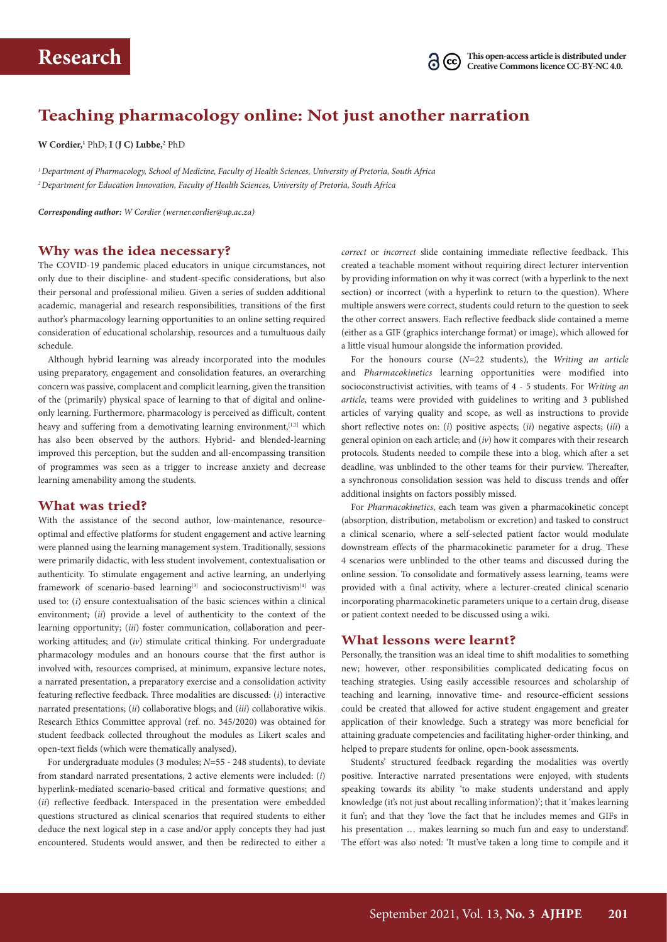

# **Teaching pharmacology online: Not just another narration**

**W Cordier,1** PhD; **I (J C) Lubbe,2** PhD

*1 Department of Pharmacology, School of Medicine, Faculty of Health Sciences, University of Pretoria, South Africa 2 Department for Education Innovation, Faculty of Health Sciences, University of Pretoria, South Africa*

*Corresponding author: W Cordier [\(werner.cordier@up.ac.za\)](mailto:werner.cordier@up.ac.za)* 

#### **Why was the idea necessary?**

The COVID-19 pandemic placed educators in unique circumstances, not only due to their discipline- and student-specific considerations, but also their personal and professional milieu. Given a series of sudden additional academic, managerial and research responsibilities, transitions of the first author's pharmacology learning opportunities to an online setting required consideration of educational scholarship, resources and a tumultuous daily schedule.

Although hybrid learning was already incorporated into the modules using preparatory, engagement and consolidation features, an overarching concern was passive, complacent and complicit learning, given the transition of the (primarily) physical space of learning to that of digital and onlineonly learning. Furthermore, pharmacology is perceived as difficult, content heavy and suffering from a demotivating learning environment, [1,2] which has also been observed by the authors. Hybrid- and blended-learning improved this perception, but the sudden and all-encompassing transition of programmes was seen as a trigger to increase anxiety and decrease learning amenability among the students.

#### **What was tried?**

With the assistance of the second author, low-maintenance, resourceoptimal and effective platforms for student engagement and active learning were planned using the learning management system. Traditionally, sessions were primarily didactic, with less student involvement, contextualisation or authenticity. To stimulate engagement and active learning, an underlying framework of scenario-based learning<sup>[3]</sup> and socioconstructivism<sup>[4]</sup> was used to: (*i*) ensure contextualisation of the basic sciences within a clinical environment; (*ii*) provide a level of authenticity to the context of the learning opportunity; (*iii*) foster communication, collaboration and peerworking attitudes; and (*iv*) stimulate critical thinking. For undergraduate pharmacology modules and an honours course that the first author is involved with, resources comprised, at minimum, expansive lecture notes, a narrated presentation, a preparatory exercise and a consolidation activity featuring reflective feedback. Three modalities are discussed: (*i*) interactive narrated presentations; (*ii*) collaborative blogs; and (*iii*) collaborative wikis. Research Ethics Committee approval (ref. no. 345/2020) was obtained for student feedback collected throughout the modules as Likert scales and open-text fields (which were thematically analysed).

For undergraduate modules (3 modules; *N*=55 - 248 students), to deviate from standard narrated presentations, 2 active elements were included: (*i*) hyperlink-mediated scenario-based critical and formative questions; and (*ii*) reflective feedback. Interspaced in the presentation were embedded questions structured as clinical scenarios that required students to either deduce the next logical step in a case and/or apply concepts they had just encountered. Students would answer, and then be redirected to either a *correct* or *incorrect* slide containing immediate reflective feedback. This created a teachable moment without requiring direct lecturer intervention by providing information on why it was correct (with a hyperlink to the next section) or incorrect (with a hyperlink to return to the question). Where multiple answers were correct, students could return to the question to seek the other correct answers. Each reflective feedback slide contained a meme (either as a GIF (graphics interchange format) or image), which allowed for a little visual humour alongside the information provided.

For the honours course (*N*=22 students), the *Writing an article*  and *Pharmacokinetics* learning opportunities were modified into socioconstructivist activities, with teams of 4 - 5 students. For *Writing an article*, teams were provided with guidelines to writing and 3 published articles of varying quality and scope, as well as instructions to provide short reflective notes on: (*i*) positive aspects; (*ii*) negative aspects; (*iii*) a general opinion on each article; and (*iv*) how it compares with their research protocols. Students needed to compile these into a blog, which after a set deadline, was unblinded to the other teams for their purview. Thereafter, a synchronous consolidation session was held to discuss trends and offer additional insights on factors possibly missed.

For *Pharmacokinetics*, each team was given a pharmacokinetic concept (absorption, distribution, metabolism or excretion) and tasked to construct a clinical scenario, where a self-selected patient factor would modulate downstream effects of the pharmacokinetic parameter for a drug. These 4 scenarios were unblinded to the other teams and discussed during the online session. To consolidate and formatively assess learning, teams were provided with a final activity, where a lecturer-created clinical scenario incorporating pharmacokinetic parameters unique to a certain drug, disease or patient context needed to be discussed using a wiki.

#### **What lessons were learnt?**

Personally, the transition was an ideal time to shift modalities to something new; however, other responsibilities complicated dedicating focus on teaching strategies. Using easily accessible resources and scholarship of teaching and learning, innovative time- and resource-efficient sessions could be created that allowed for active student engagement and greater application of their knowledge. Such a strategy was more beneficial for attaining graduate competencies and facilitating higher-order thinking, and helped to prepare students for online, open-book assessments.

Students' structured feedback regarding the modalities was overtly positive. Interactive narrated presentations were enjoyed, with students speaking towards its ability 'to make students understand and apply knowledge (it's not just about recalling information)'; that it 'makes learning it fun'; and that they 'love the fact that he includes memes and GIFs in his presentation … makes learning so much fun and easy to understand'. The effort was also noted: 'It must've taken a long time to compile and it